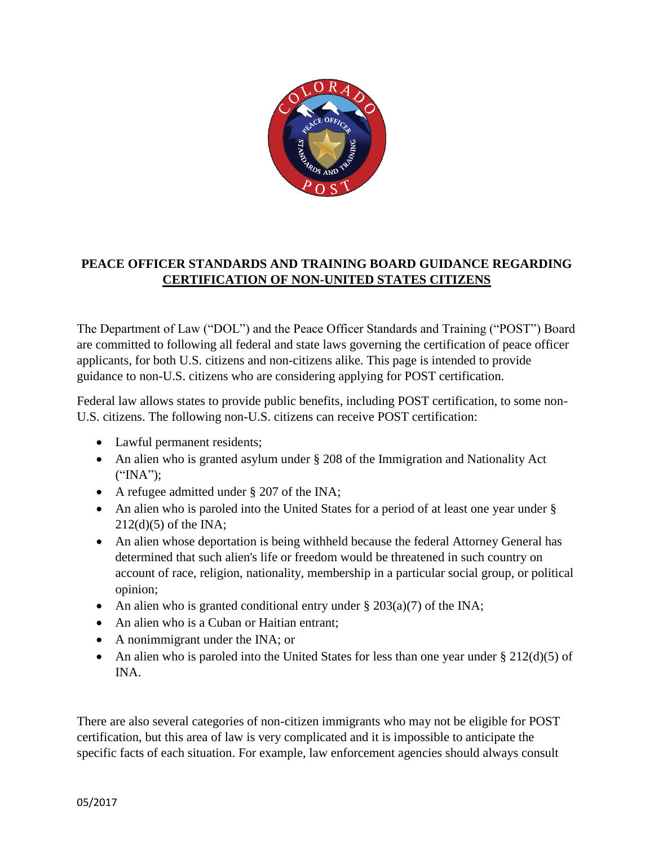

## **PEACE OFFICER STANDARDS AND TRAINING BOARD GUIDANCE REGARDING CERTIFICATION OF NON-UNITED STATES CITIZENS**

The Department of Law ("DOL") and the Peace Officer Standards and Training ("POST") Board are committed to following all federal and state laws governing the certification of peace officer applicants, for both U.S. citizens and non-citizens alike. This page is intended to provide guidance to non-U.S. citizens who are considering applying for POST certification.

Federal law allows states to provide public benefits, including POST certification, to some non-U.S. citizens. The following non-U.S. citizens can receive POST certification:

- Lawful permanent residents;
- An alien who is granted asylum under § 208 of the Immigration and Nationality Act ("INA");
- A refugee admitted under § 207 of the INA;
- An alien who is paroled into the United States for a period of at least one year under § 212(d)(5) of the INA;
- An alien whose deportation is being withheld because the federal Attorney General has determined that such alien's life or freedom would be threatened in such country on account of race, religion, nationality, membership in a particular social group, or political opinion;
- An alien who is granted conditional entry under  $\S 203(a)(7)$  of the INA;
- An alien who is a Cuban or Haitian entrant;
- A nonimmigrant under the INA; or
- An alien who is paroled into the United States for less than one year under  $\S 212(d)(5)$  of INA.

There are also several categories of non-citizen immigrants who may not be eligible for POST certification, but this area of law is very complicated and it is impossible to anticipate the specific facts of each situation. For example, law enforcement agencies should always consult